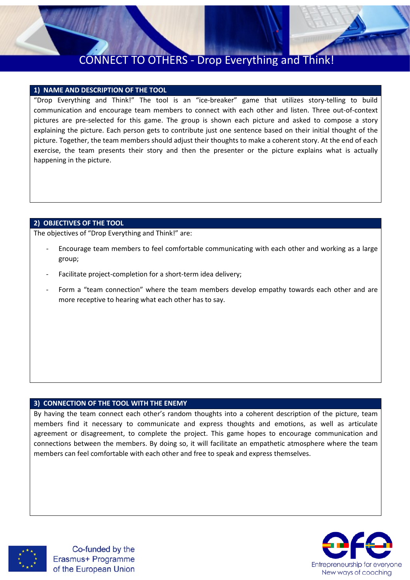

# CONNECT TO OTHERS - Drop Everything and Think!

### **1) NAME AND DESCRIPTION OF THE TOOL**

"Drop Everything and Think!" The tool is an "ice-breaker" game that utilizes story-telling to build communication and encourage team members to connect with each other and listen. Three out-of-context pictures are pre-selected for this game. The group is shown each picture and asked to compose a story explaining the picture. Each person gets to contribute just one sentence based on their initial thought of the picture. Together, the team members should adjust their thoughts to make a coherent story. At the end of each exercise, the team presents their story and then the presenter or the picture explains what is actually happening in the picture.

#### **2) OBJECTIVES OF THE TOOL**

The objectives of "Drop Everything and Think!" are:

- Encourage team members to feel comfortable communicating with each other and working as a large group;
- Facilitate project-completion for a short-term idea delivery;
- Form a "team connection" where the team members develop empathy towards each other and are more receptive to hearing what each other has to say.

#### **3) CONNECTION OF THE TOOL WITH THE ENEMY**

By having the team connect each other's random thoughts into a coherent description of the picture, team members find it necessary to communicate and express thoughts and emotions, as well as articulate agreement or disagreement, to complete the project. This game hopes to encourage communication and connections between the members. By doing so, it will facilitate an empathetic atmosphere where the team members can feel comfortable with each other and free to speak and express themselves.



Co-funded by the Erasmus+ Programme of the European Union

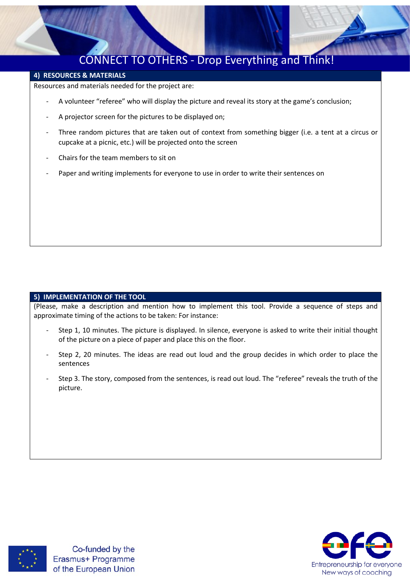

## CONNECT TO OTHERS - Drop Everything and Think!

### **4) RESOURCES & MATERIALS**

Resources and materials needed for the project are:

- A volunteer "referee" who will display the picture and reveal its story at the game's conclusion;
- A projector screen for the pictures to be displayed on;
- Three random pictures that are taken out of context from something bigger (i.e. a tent at a circus or cupcake at a picnic, etc.) will be projected onto the screen
- Chairs for the team members to sit on
- Paper and writing implements for everyone to use in order to write their sentences on

#### **5) IMPLEMENTATION OF THE TOOL**

(Please, make a description and mention how to implement this tool. Provide a sequence of steps and approximate timing of the actions to be taken: For instance:

- Step 1, 10 minutes. The picture is displayed. In silence, everyone is asked to write their initial thought of the picture on a piece of paper and place this on the floor.
- Step 2, 20 minutes. The ideas are read out loud and the group decides in which order to place the sentences
- Step 3. The story, composed from the sentences, is read out loud. The "referee" reveals the truth of the picture.



Co-funded by the Erasmus+ Programme of the European Union